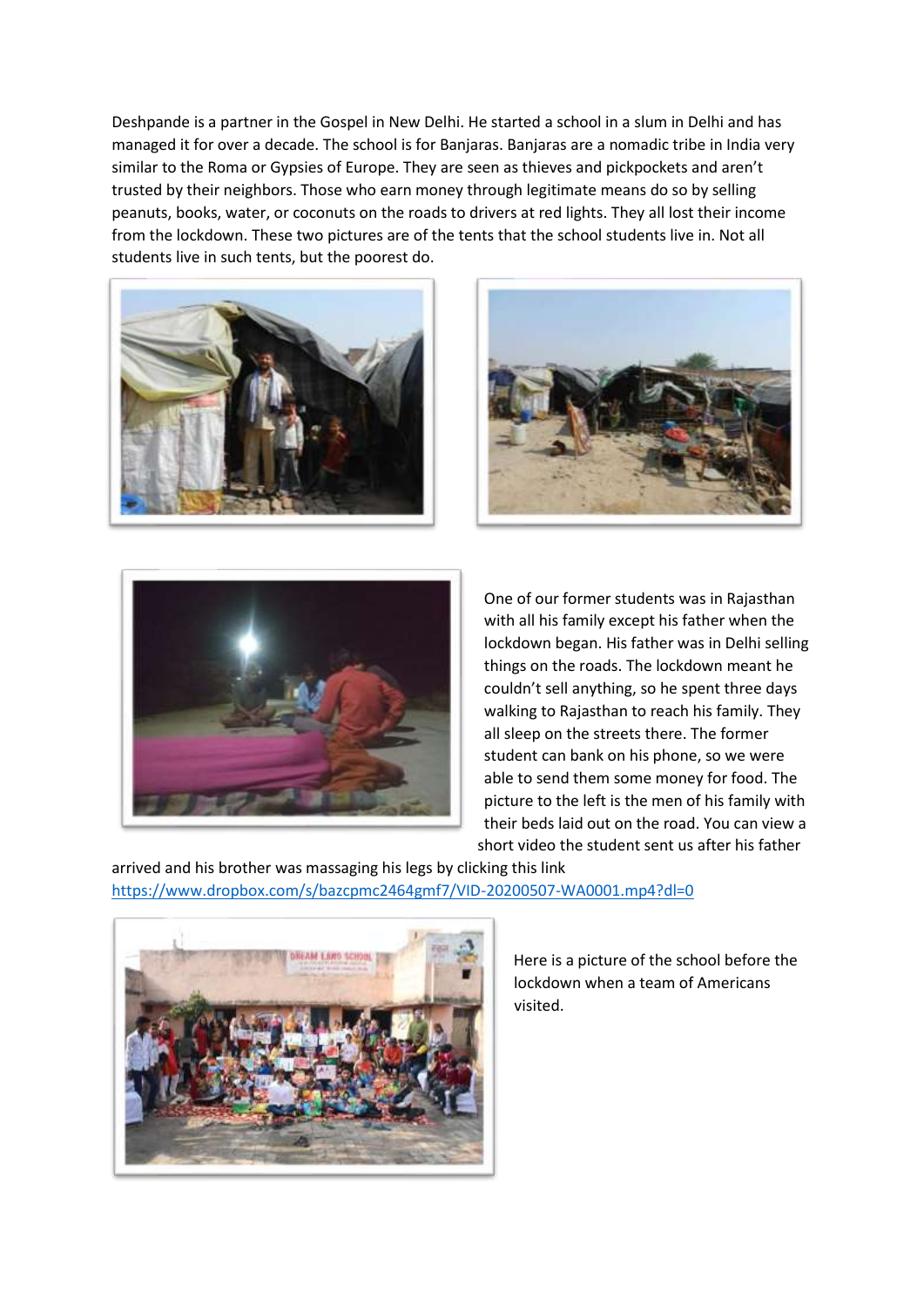Deshpande is a partner in the Gospel in New Delhi. He started a school in a slum in Delhi and has managed it for over a decade. The school is for Banjaras. Banjaras are a nomadic tribe in India very similar to the Roma or Gypsies of Europe. They are seen as thieves and pickpockets and aren't trusted by their neighbors. Those who earn money through legitimate means do so by selling peanuts, books, water, or coconuts on the roads to drivers at red lights. They all lost their income from the lockdown. These two pictures are of the tents that the school students live in. Not all students live in such tents, but the poorest do.







One of our former students was in Rajasthan with all his family except his father when the lockdown began. His father was in Delhi selling things on the roads. The lockdown meant he couldn't sell anything, so he spent three days walking to Rajasthan to reach his family. They all sleep on the streets there. The former student can bank on his phone, so we were able to send them some money for food. The picture to the left is the men of his family with their beds laid out on the road. You can view a short video the student sent us after his father

arrived and his brother was massaging his legs by clicking this link <https://www.dropbox.com/s/bazcpmc2464gmf7/VID-20200507-WA0001.mp4?dl=0>



Here is a picture of the school before the lockdown when a team of Americans visited.